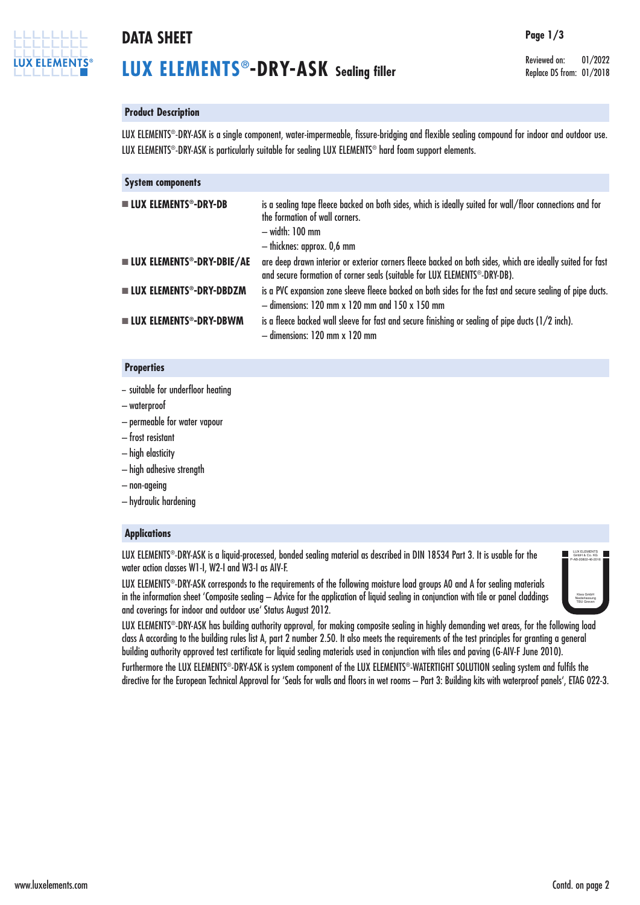

## **DATA SHEET Page 1/3**

# **LUX ELEMENTS®-DRY-ASK Sealing filler**

Reviewed on: 01/2022 Replace DS from: 01/2018

### **Product Description**

LUX ELEMENTS®-DRY-ASK is a single component, water-impermeable, fissure-bridging and flexible sealing compound for indoor and outdoor use. LUX ELEMENTS®-DRY-ASK is particularly suitable for sealing LUX ELEMENTS® hard foam support elements.

| <b>System components</b>                           |                                                                                                                                                                                              |
|----------------------------------------------------|----------------------------------------------------------------------------------------------------------------------------------------------------------------------------------------------|
| <b>LUX ELEMENTS<sup>®</sup>-DRY-DB</b>             | is a sealing tape fleece backed on both sides, which is ideally suited for wall/floor connections and for<br>the formation of wall corners.<br>- width: 100 mm<br>- thicknes: approx. 0,6 mm |
| <b>UN ELEMENTS<sup>®</sup>-DRY-DBIE/AE</b>         | are deep drawn interior or exterior corners fleece backed on both sides, which are ideally suited for fast<br>and secure formation of corner seals (suitable for LUX ELEMENTS®-DRY-DB).      |
| <b>LUX ELEMENTS<sup>®</sup>-DRY-DBDZM</b>          | is a PVC expansion zone sleeve fleece backed on both sides for the fast and secure sealing of pipe ducts.<br>$-$ dimensions: 120 mm x 120 mm and 150 x 150 mm                                |
| $\blacksquare$ LUX ELEMENTS <sup>®</sup> -DRY-DBWM | is a fleece backed wall sleeve for fast and secure finishing or sealing of pipe ducts (1/2 inch).<br>$-$ dimensions: 120 mm $\times$ 120 mm                                                  |

#### **Properties**

- suitable for underfloor heating
- waterproof
- permeable for water vapour
- frost resistant
- high elasticity
- high adhesive strength
- non-ageing
- hydraulic hardening

### **Applications**

LUX ELEMENTS®-DRY-ASK is a liquid-processed, bonded sealing material as described in DIN 18534 Part 3. It is usable for the water action classes W1-I, W2-I and W3-I as AIV-F.

LUX ELEMENTS®-DRY-ASK corresponds to the requirements of the following moisture load groups A0 and A for sealing materials in the information sheet 'Composite sealing – Advice for the application of liquid sealing in conjunction with tile or panel claddings and coverings for indoor and outdoor use' Status August 2012.



LUX ELEMENTS®-DRY-ASK has building authority approval, for making composite sealing in highly demanding wet areas, for the following load class A according to the building rules list A, part 2 number 2.50. It also meets the requirements of the test principles for granting a general building authority approved test certificate for liquid sealing materials used in conjunction with tiles and paving (G-AIV-F June 2010).

Furthermore the LUX ELEMENTS®-DRY-ASK is system component of the LUX ELEMENTS®-WATERTIGHT SOLUTION sealing system and fulfils the directive for the European Technical Approval for 'Seals for walls and floors in wet rooms – Part 3: Building kits with waterproof panels', ETAG 022-3.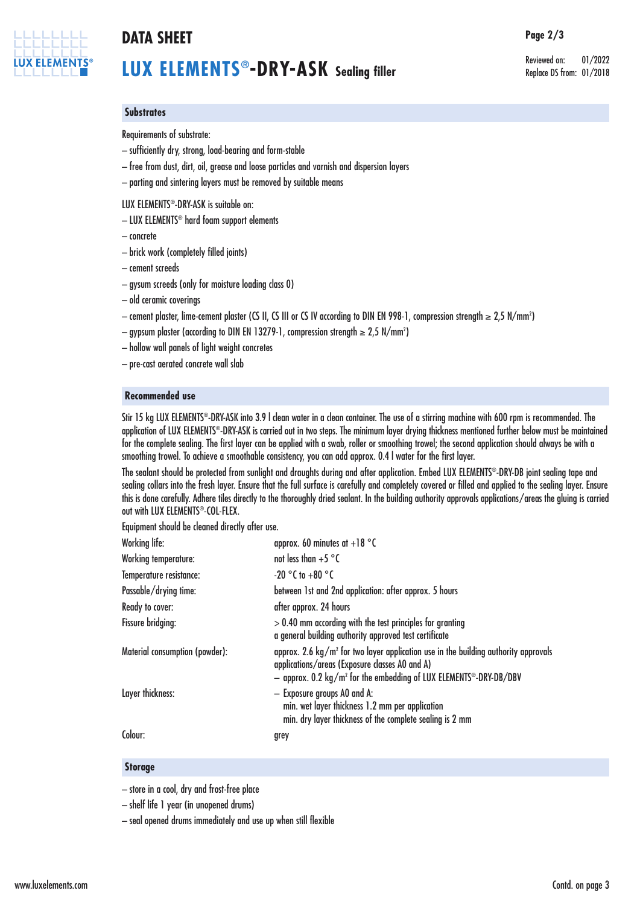

# **DATA SHEET Page 2/3**

# **LUX ELEMENTS®-DRY-ASK Sealing filler**

Reviewed on: 01/2022 Replace DS from: 01/2018

### **Substrates**

Requirements of substrate:

- sufficiently dry, strong, load-bearing and form-stable
- free from dust, dirt, oil, grease and loose particles and varnish and dispersion layers
- parting and sintering layers must be removed by suitable means

#### LUX ELEMENTS®-DRY-ASK is suitable on:

- LUX ELEMENTS® hard foam support elements
- concrete
- brick work (completely filled joints)
- cement screeds
- gysum screeds (only for moisture loading class 0)
- old ceramic coverings
- cement plaster, lime-cement plaster (CS II, CS III or CS IV according to DIN EN 998-1, compression strength ≥ 2,5 N/mm2 )
- $-$  gypsum plaster (according to DIN EN 13279-1, compression strength  $\geq 2,$ 5 N/mm $^2$ )
- hollow wall panels of light weight concretes
- pre-cast aerated concrete wall slab

#### **Recommended use**

Stir 15 kg LUX ELEMENTS®-DRY-ASK into 3.9 I clean water in a clean container. The use of a stirring machine with 600 rpm is recommended. The application of LUX ELEMENTS®-DRY-ASK is carried out in two steps. The minimum layer drying thickness mentioned further below must be maintained for the complete sealing. The first layer can be applied with a swab, roller or smoothing trowel; the second application should always be with a smoothing trowel. To achieve a smoothable consistency, you can add approx. 0.4 l water for the first layer.

The sealant should be protected from sunlight and draughts during and after application. Embed LUX ELEMENTS®-DRY-DB joint sealing tape and sealing collars into the fresh layer. Ensure that the full surface is carefully and completely covered or filled and applied to the sealing layer. Ensure this is done carefully. Adhere tiles directly to the thoroughly dried sealant. In the building authority approvals applications/areas the gluing is carried out with LUX ELEMENTS®-COL-FLEX.

Equipment should be cleaned directly after use.

| between 1st and 2nd application: after approx. 5 hours                                                                                                                                                                                        |
|-----------------------------------------------------------------------------------------------------------------------------------------------------------------------------------------------------------------------------------------------|
|                                                                                                                                                                                                                                               |
| $> 0.40$ mm according with the test principles for granting<br>a general building authority approved test certificate                                                                                                                         |
| approx. 2.6 $\text{kg/m}^2$ for two layer application use in the building authority approvals<br>applications/areas (Exposure classes A0 and A)<br>- approx. 0.2 kg/m <sup>2</sup> for the embedding of LUX ELEMENTS <sup>®</sup> -DRY-DB/DBV |
| min. wet layer thickness 1.2 mm per application<br>min. dry layer thickness of the complete sealing is 2 mm                                                                                                                                   |
|                                                                                                                                                                                                                                               |
|                                                                                                                                                                                                                                               |

#### **Storage**

– store in a cool, dry and frost-free place

– shelf life 1 year (in unopened drums)

– seal opened drums immediately and use up when still flexible